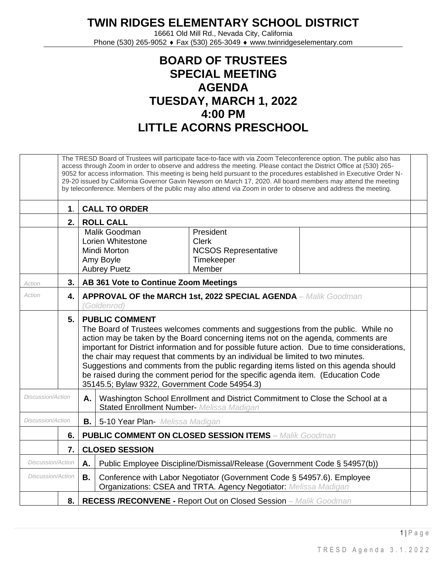**TWIN RIDGES ELEMENTARY SCHOOL DISTRICT**

16661 Old Mill Rd., Nevada City, California Phone (530) 265-9052 ♦ Fax (530) 265-3049 ♦ www.twinridgeselementary.com

## **BOARD OF TRUSTEES SPECIAL MEETING AGENDA TUESDAY, MARCH 1, 2022 4:00 PM LITTLE ACORNS PRESCHOOL**

|                          | The TRESD Board of Trustees will participate face-to-face with via Zoom Teleconference option. The public also has<br>access through Zoom in order to observe and address the meeting. Please contact the District Office at (530) 265-<br>9052 for access information. This meeting is being held pursuant to the procedures established in Executive Order N-<br>29-20 issued by California Governor Gavin Newsom on March 17, 2020. All board members may attend the meeting<br>by teleconference. Members of the public may also attend via Zoom in order to observe and address the meeting. |                                                                                                                                                                                                                                                                                                                                                                                                                                                                                                                                                                                                                     |  |  |  |  |
|--------------------------|---------------------------------------------------------------------------------------------------------------------------------------------------------------------------------------------------------------------------------------------------------------------------------------------------------------------------------------------------------------------------------------------------------------------------------------------------------------------------------------------------------------------------------------------------------------------------------------------------|---------------------------------------------------------------------------------------------------------------------------------------------------------------------------------------------------------------------------------------------------------------------------------------------------------------------------------------------------------------------------------------------------------------------------------------------------------------------------------------------------------------------------------------------------------------------------------------------------------------------|--|--|--|--|
|                          | $\mathbf 1$ .                                                                                                                                                                                                                                                                                                                                                                                                                                                                                                                                                                                     | <b>CALL TO ORDER</b>                                                                                                                                                                                                                                                                                                                                                                                                                                                                                                                                                                                                |  |  |  |  |
|                          | 2.                                                                                                                                                                                                                                                                                                                                                                                                                                                                                                                                                                                                | <b>ROLL CALL</b>                                                                                                                                                                                                                                                                                                                                                                                                                                                                                                                                                                                                    |  |  |  |  |
|                          |                                                                                                                                                                                                                                                                                                                                                                                                                                                                                                                                                                                                   | Malik Goodman<br>President<br>Lorien Whitestone<br><b>Clerk</b><br><b>NCSOS Representative</b><br><b>Mindi Morton</b><br>Amy Boyle<br>Timekeeper<br>Member<br><b>Aubrey Puetz</b>                                                                                                                                                                                                                                                                                                                                                                                                                                   |  |  |  |  |
| Action                   | 3.                                                                                                                                                                                                                                                                                                                                                                                                                                                                                                                                                                                                | AB 361 Vote to Continue Zoom Meetings                                                                                                                                                                                                                                                                                                                                                                                                                                                                                                                                                                               |  |  |  |  |
| Action                   | 4.                                                                                                                                                                                                                                                                                                                                                                                                                                                                                                                                                                                                | <b>APPROVAL OF the MARCH 1st, 2022 SPECIAL AGENDA</b> - Malik Goodman<br>(Goldenrod)                                                                                                                                                                                                                                                                                                                                                                                                                                                                                                                                |  |  |  |  |
|                          | 5.                                                                                                                                                                                                                                                                                                                                                                                                                                                                                                                                                                                                | <b>PUBLIC COMMENT</b><br>The Board of Trustees welcomes comments and suggestions from the public. While no<br>action may be taken by the Board concerning items not on the agenda, comments are<br>important for District information and for possible future action. Due to time considerations,<br>the chair may request that comments by an individual be limited to two minutes.<br>Suggestions and comments from the public regarding items listed on this agenda should<br>be raised during the comment period for the specific agenda item. (Education Code<br>35145.5; Bylaw 9322, Government Code 54954.3) |  |  |  |  |
| <b>Discussion/Action</b> |                                                                                                                                                                                                                                                                                                                                                                                                                                                                                                                                                                                                   | Washington School Enrollment and District Commitment to Close the School at a<br>Α.<br><b>Stated Enrollment Number- Melissa Madigan</b>                                                                                                                                                                                                                                                                                                                                                                                                                                                                             |  |  |  |  |
| Discussion/Action        |                                                                                                                                                                                                                                                                                                                                                                                                                                                                                                                                                                                                   | <b>B.</b><br>5-10 Year Plan- Melissa Madigan                                                                                                                                                                                                                                                                                                                                                                                                                                                                                                                                                                        |  |  |  |  |
|                          | 6.                                                                                                                                                                                                                                                                                                                                                                                                                                                                                                                                                                                                | <b>PUBLIC COMMENT ON CLOSED SESSION ITEMS - Malik Goodman</b>                                                                                                                                                                                                                                                                                                                                                                                                                                                                                                                                                       |  |  |  |  |
|                          | 7.                                                                                                                                                                                                                                                                                                                                                                                                                                                                                                                                                                                                | <b>CLOSED SESSION</b>                                                                                                                                                                                                                                                                                                                                                                                                                                                                                                                                                                                               |  |  |  |  |
| Discussion/Action        |                                                                                                                                                                                                                                                                                                                                                                                                                                                                                                                                                                                                   | Public Employee Discipline/Dismissal/Release (Government Code § 54957(b))<br>Α.                                                                                                                                                                                                                                                                                                                                                                                                                                                                                                                                     |  |  |  |  |
| Discussion/Action        |                                                                                                                                                                                                                                                                                                                                                                                                                                                                                                                                                                                                   | <b>B.</b><br>Conference with Labor Negotiator (Government Code § 54957.6). Employee<br>Organizations: CSEA and TRTA. Agency Negotiator: Melissa Madigan                                                                                                                                                                                                                                                                                                                                                                                                                                                             |  |  |  |  |
|                          |                                                                                                                                                                                                                                                                                                                                                                                                                                                                                                                                                                                                   | 8.   RECESS /RECONVENE - Report Out on Closed Session - Malik Goodman                                                                                                                                                                                                                                                                                                                                                                                                                                                                                                                                               |  |  |  |  |